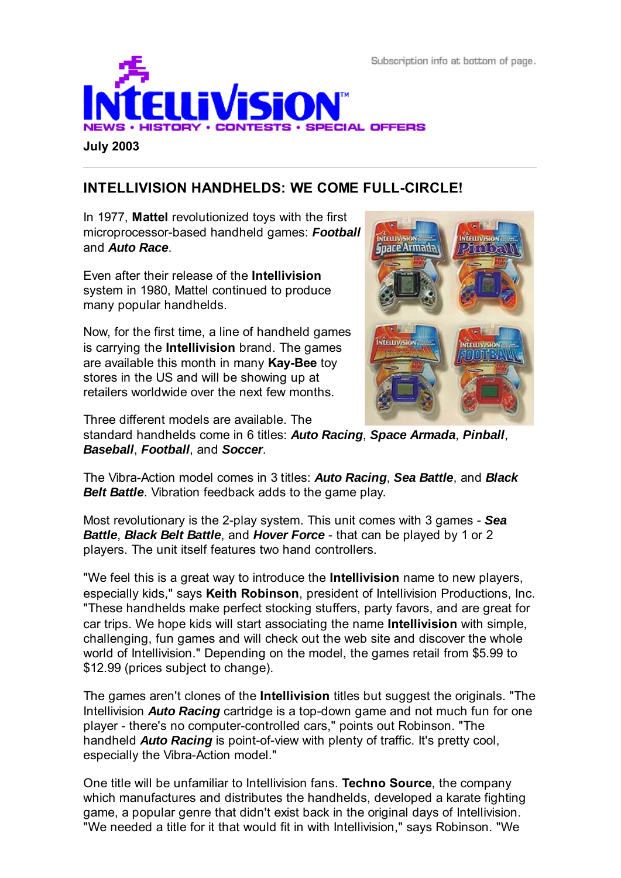Subscription info at bottom of page.



**July 2003**

## **INTELLIVISION HANDHELDS: WE COME FULL-CIRCLE!**

In 1977, **Mattel** revolutionized toys with the first microprocessor-based handheld games: *Football* and *Auto Race*.

Even after their release of the **Intellivision** system in 1980, Mattel continued to produce many popular handhelds.

Now, for the first time, a line of handheld games is carrying the **Intellivision** brand. The games are available this month in many **Kay-Bee** toy stores in the US and will be showing up at retailers worldwide over the next few months.

Three different models are available. The



standard handhelds come in 6 titles: *Auto Racing*, *Space Armada*, *Pinball*, *Baseball*, *Football*, and *Soccer*.

The Vibra-Action model comes in 3 titles: *Auto Racing*, *Sea Battle*, and *Black Belt Battle.* Vibration feedback adds to the game play.

Most revolutionary is the 2-play system. This unit comes with 3 games - *Sea Battle*, *Black Belt Battle*, and *Hover Force* - that can be played by 1 or 2 players. The unit itself features two hand controllers.

"We feel this is a great way to introduce the **Intellivision** name to new players, especially kids," says **Keith Robinson**, president of Intellivision Productions, Inc. "These handhelds make perfect stocking stuffers, party favors, and are great for car trips. We hope kids will start associating the name **Intellivision** with simple, challenging, fun games and will check out the web site and discover the whole world of Intellivision." Depending on the model, the games retail from \$5.99 to \$12.99 (prices subject to change).

The games aren't clones of the **Intellivision** titles but suggest the originals. "The Intellivision *Auto Racing* cartridge is a top-down game and not much fun for one player - there's no computer-controlled cars," points out Robinson. "The handheld *Auto Racing* is point-of-view with plenty of traffic. It's pretty cool, especially the Vibra-Action model."

One title will be unfamiliar to Intellivision fans. **Techno Source**, the company which manufactures and distributes the handhelds, developed a karate fighting game, a popular genre that didn't exist back in the original days of Intellivision. "We needed a title for it that would fit in with Intellivision," says Robinson. "We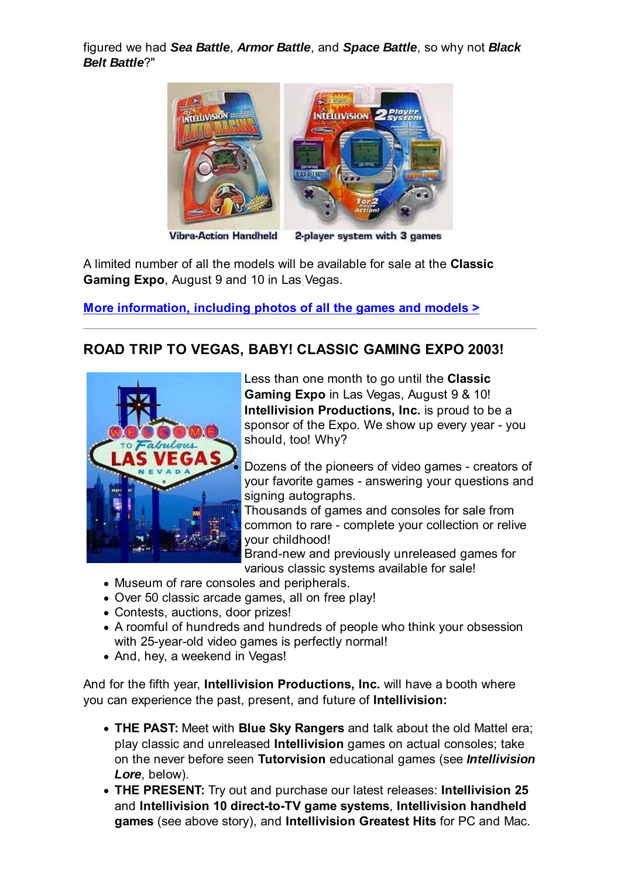figured we had *Sea Battle*, *Armor Battle*, and *Space Battle*, so why not *Black Belt Battle*?"



**Vibra-Action Handheld** 

2-player system with 3 games

A limited number of all the models will be available for sale at the **Classic Gaming Expo**, August 9 and 10 in Las Vegas.

**More information, including photos of all the games and models >**

### **ROAD TRIP TO VEGAS, BABY! CLASSIC GAMING EXPO 2003!**



Less than one month to go until the **Classic Gaming Expo** in Las Vegas, August 9 & 10! **Intellivision Productions, Inc.** is proud to be a sponsor of the Expo. We show up every year - you should, too! Why?

Dozens of the pioneers of video games - creators of your favorite games - answering your questions and signing autographs.

Thousands of games and consoles for sale from common to rare - complete your collection or relive your childhood!

Brand-new and previously unreleased games for various classic systems available for sale!

- Museum of rare consoles and peripherals.
- Over 50 classic arcade games, all on free play!
- Contests, auctions, door prizes!
- A roomful of hundreds and hundreds of people who think your obsession with 25-year-old video games is perfectly normal!
- And, hey, a weekend in Vegas!

And for the fifth year, **Intellivision Productions, Inc.** will have a booth where you can experience the past, present, and future of **Intellivision:**

- **THE PAST:** Meet with **Blue Sky Rangers** and talk about the old Mattel era; play classic and unreleased **Intellivision** games on actual consoles; take on the never before seen **Tutorvision** educational games (see *Intellivision Lore*, below).
- **THE PRESENT:** Try out and purchase our latest releases: **Intellivision 25** and **Intellivision 10 direct-to-TV game systems**, **Intellivision handheld games** (see above story), and **Intellivision Greatest Hits** for PC and Mac.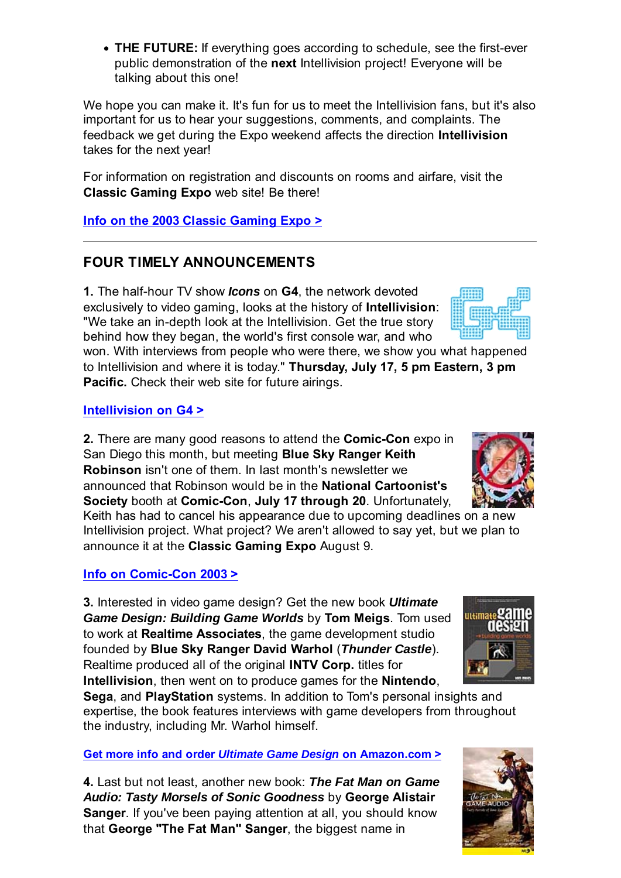**THE FUTURE:** If everything goes according to schedule, see the first-ever public demonstration of the **next** Intellivision project! Everyone will be talking about this one!

We hope you can make it. It's fun for us to meet the Intellivision fans, but it's also important for us to hear your suggestions, comments, and complaints. The feedback we get during the Expo weekend affects the direction **Intellivision** takes for the next year!

For information on registration and discounts on rooms and airfare, visit the **Classic Gaming Expo** web site! Be there!

**Info on the 2003 Classic Gaming Expo >**

### **FOUR TIMELY ANNOUNCEMENTS**

**1.** The half-hour TV show *Icons* on **G4**, the network devoted exclusively to video gaming, looks at the history of **Intellivision**: "We take an in-depth look at the Intellivision. Get the true story behind how they began, the world's first console war, and who

won. With interviews from people who were there, we show you what happened to Intellivision and where it is today." **Thursday, July 17, 5 pm Eastern, 3 pm Pacific.** Check their web site for future airings.

#### **Intellivision on G4 >**

**2.** There are many good reasons to attend the **Comic-Con** expo in San Diego this month, but meeting **Blue Sky Ranger Keith Robinson** isn't one of them. In last month's newsletter we announced that Robinson would be in the **National Cartoonist's Society** booth at **Comic-Con**, **July 17 through 20**. Unfortunately,

Keith has had to cancel his appearance due to upcoming deadlines on a new Intellivision project. What project? We aren't allowed to say yet, but we plan to announce it at the **Classic Gaming Expo** August 9.

#### **Info on Comic-Con 2003 >**

**3.** Interested in video game design? Get the new book *Ultimate Game Design: Building Game Worlds* by **Tom Meigs**. Tom used to work at **Realtime Associates**, the game development studio founded by **Blue Sky Ranger David Warhol** (*Thunder Castle*). Realtime produced all of the original **INTV Corp.** titles for **Intellivision**, then went on to produce games for the **Nintendo**,

**Sega**, and **PlayStation** systems. In addition to Tom's personal insights and expertise, the book features interviews with game developers from throughout the industry, including Mr. Warhol himself.

#### **Get more info and order** *Ultimate Game Design* **on Amazon.com >**

**4.** Last but not least, another new book: *The Fat Man on Game Audio: Tasty Morsels of Sonic Goodness* by **George Alistair Sanger**. If you've been paying attention at all, you should know that **George "The Fat Man" Sanger**, the biggest name in





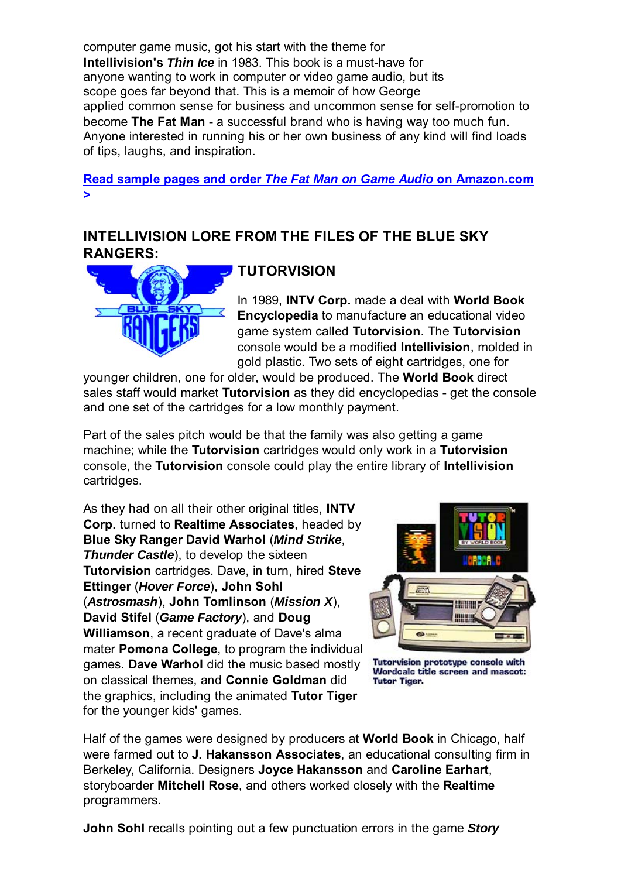computer game music, got his start with the theme for **Intellivision's** *Thin Ice* in 1983. This book is a must-have for anyone wanting to work in computer or video game audio, but its scope goes far beyond that. This is a memoir of how George applied common sense for business and uncommon sense for self-promotion to become **The Fat Man** - a successful brand who is having way too much fun. Anyone interested in running his or her own business of any kind will find loads of tips, laughs, and inspiration.

**Read sample pages and order** *The Fat Man on Game Audio* **on Amazon.com >**

### **INTELLIVISION LORE FROM THE FILES OF THE BLUE SKY RANGERS:**



## **TUTORVISION**

In 1989, **INTV Corp.** made a deal with **World Book Encyclopedia** to manufacture an educational video game system called **Tutorvision**. The **Tutorvision** console would be a modified **Intellivision**, molded in gold plastic. Two sets of eight cartridges, one for

younger children, one for older, would be produced. The **World Book** direct sales staff would market **Tutorvision** as they did encyclopedias - get the console and one set of the cartridges for a low monthly payment.

Part of the sales pitch would be that the family was also getting a game machine; while the **Tutorvision** cartridges would only work in a **Tutorvision** console, the **Tutorvision** console could play the entire library of **Intellivision** cartridges.

As they had on all their other original titles, **INTV Corp.** turned to **Realtime Associates**, headed by **Blue Sky Ranger David Warhol** (*Mind Strike*, **Thunder Castle**), to develop the sixteen **Tutorvision** cartridges. Dave, in turn, hired **Steve Ettinger** (*Hover Force*), **John Sohl** (*Astrosmash*), **John Tomlinson** (*Mission X*), **David Stifel** (*Game Factory*), and **Doug Williamson**, a recent graduate of Dave's alma mater **Pomona College**, to program the individual games. **Dave Warhol** did the music based mostly on classical themes, and **Connie Goldman** did the graphics, including the animated **Tutor Tiger** for the younger kids' games.



Tutorvision prototype console with<br>Wordcalc title screen and mascot: **Tutor Tiger.** 

Half of the games were designed by producers at **World Book** in Chicago, half were farmed out to **J. Hakansson Associates**, an educational consulting firm in Berkeley, California. Designers **Joyce Hakansson** and **Caroline Earhart**, storyboarder **Mitchell Rose**, and others worked closely with the **Realtime** programmers.

**John Sohl** recalls pointing out a few punctuation errors in the game *Story*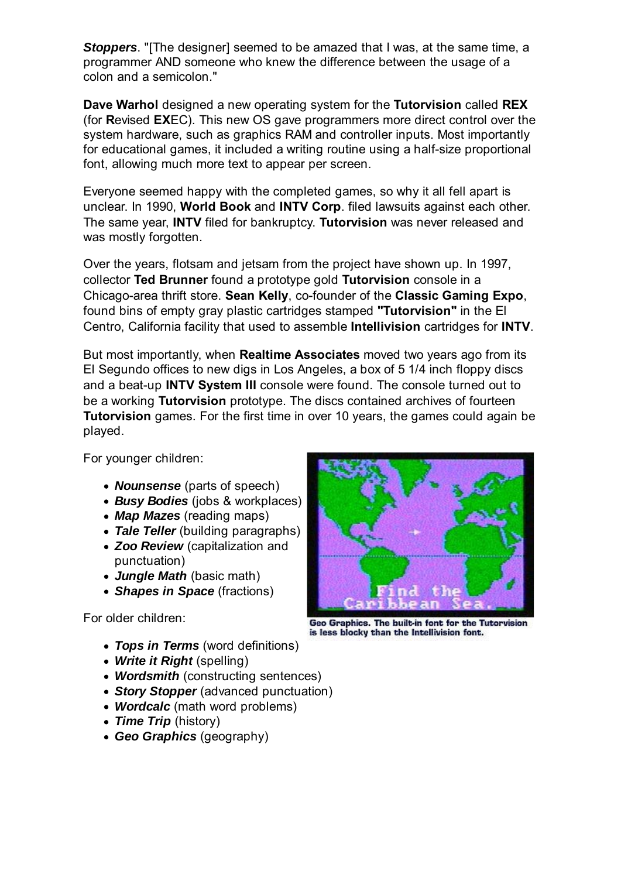**Stoppers**. "[The designer] seemed to be amazed that I was, at the same time, a programmer AND someone who knew the difference between the usage of a colon and a semicolon."

**Dave Warhol** designed a new operating system for the **Tutorvision** called **REX** (for **R**evised **EX**EC). This new OS gave programmers more direct control over the system hardware, such as graphics RAM and controller inputs. Most importantly for educational games, it included a writing routine using a half-size proportional font, allowing much more text to appear per screen.

Everyone seemed happy with the completed games, so why it all fell apart is unclear. In 1990, **World Book** and **INTV Corp**. filed lawsuits against each other. The same year, **INTV** filed for bankruptcy. **Tutorvision** was never released and was mostly forgotten.

Over the years, flotsam and jetsam from the project have shown up. In 1997, collector **Ted Brunner** found a prototype gold **Tutorvision** console in a Chicago-area thrift store. **Sean Kelly**, co-founder of the **Classic Gaming Expo**, found bins of empty gray plastic cartridges stamped **"Tutorvision"** in the El Centro, California facility that used to assemble **Intellivision** cartridges for **INTV**.

But most importantly, when **Realtime Associates** moved two years ago from its El Segundo offices to new digs in Los Angeles, a box of 5 1/4 inch floppy discs and a beat-up **INTV System III** console were found. The console turned out to be a working **Tutorvision** prototype. The discs contained archives of fourteen **Tutorvision** games. For the first time in over 10 years, the games could again be played.

For younger children:

- *Nounsense* (parts of speech)
- *Busy Bodies* (jobs & workplaces)
- *Map Mazes* (reading maps)
- *Tale Teller* (building paragraphs)
- *Zoo Review* (capitalization and punctuation)
- *Jungle Math* (basic math)
- *Shapes in Space* (fractions)

For older children:

- *Tops in Terms* (word definitions)
- *Write it Right* (spelling)
- *Wordsmith* (constructing sentences)
- *Story Stopper* (advanced punctuation)
- *Wordcalc* (math word problems)
- Time Trip (history)
- *Geo Graphics* (geography)



Geo Graphics. The built-in font for the Tutorvision is less blocky than the Intellivision font.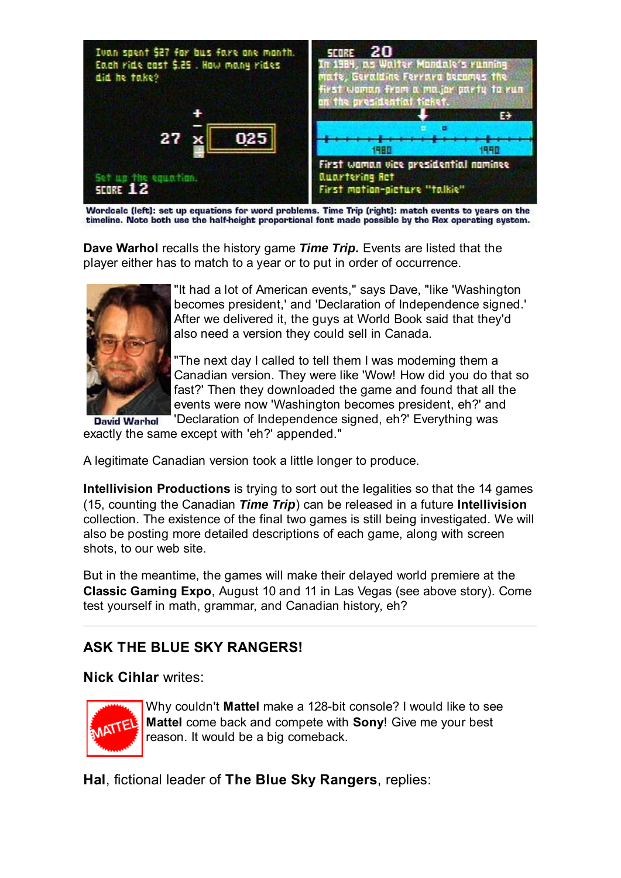

Wordcalc (left): set up equations for word problems. Time Trip (right): match events to years on the timeline. Note both use the half-height proportional font made possible by the Rex operating system.

**Dave Warhol** recalls the history game *Time Trip.* Events are listed that the player either has to match to a year or to put in order of occurrence.



"It had a lot of American events," says Dave, "like 'Washington becomes president,' and 'Declaration of Independence signed.' After we delivered it, the guys at World Book said that they'd also need a version they could sell in Canada.

"The next day I called to tell them I was modeming them a Canadian version. They were like 'Wow! How did you do that so fast?' Then they downloaded the game and found that all the events were now 'Washington becomes president, eh?' and

'Declaration of Independence signed, eh?' Everything was **David Warhol** exactly the same except with 'eh?' appended."

A legitimate Canadian version took a little longer to produce.

**Intellivision Productions** is trying to sort out the legalities so that the 14 games (15, counting the Canadian *Time Trip*) can be released in a future **Intellivision** collection. The existence of the final two games is still being investigated. We will also be posting more detailed descriptions of each game, along with screen shots, to our web site.

But in the meantime, the games will make their delayed world premiere at the **Classic Gaming Expo**, August 10 and 11 in Las Vegas (see above story). Come test yourself in math, grammar, and Canadian history, eh?

## **ASK THE BLUE SKY RANGERS!**

#### **Nick Cihlar** writes:



Why couldn't **Mattel** make a 128-bit console? I would like to see **Mattel** come back and compete with **Sony**! Give me your best reason. It would be a big comeback.

**Hal**, fictional leader of **The Blue Sky Rangers**, replies: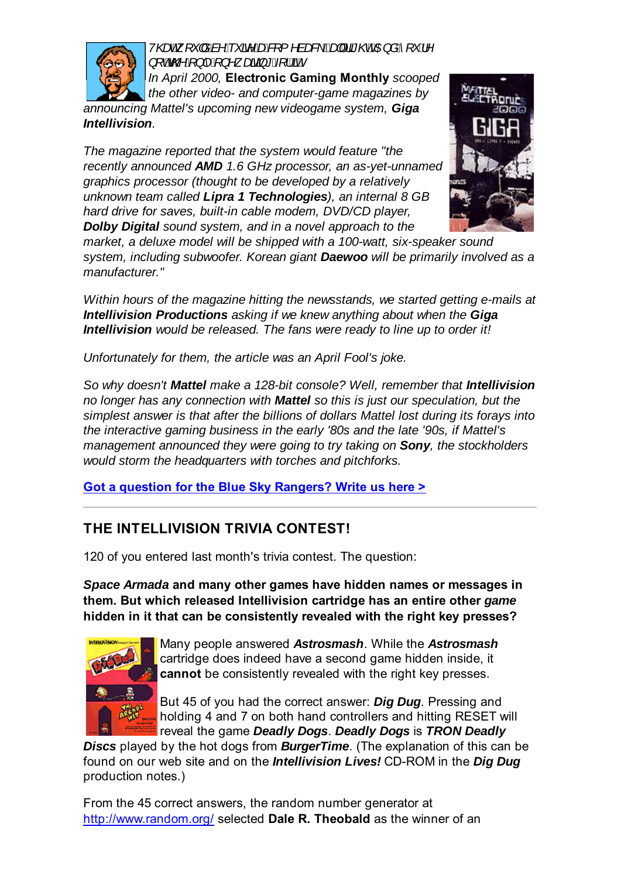

*V*@ceA<sub>,</sub> ["|åAà^A"&i^Aœ&Y{^àæ&\E&q#Aã"@EAOEjåA["O^ *QRWWKHRQO\RQHZDLWLQJIRULW*

*In April 2000,* **Electronic Gaming Monthly** *scooped the other video- and computer-game magazines by announcing Mattel's upcoming new videogame system, Giga Intellivision.*

*The magazine reported that the system would feature "the recently announced AMD 1.6 GHz processor, an as-yet-unnamed graphics processor (thought to be developed by a relatively unknown team called Lipra 1 Technologies), an internal 8 GB hard drive for saves, built-in cable modem, DVD/CD player, Dolby Digital sound system, and in a novel approach to the*



*market, a deluxe model will be shipped with a 100-watt, six-speaker sound system, including subwoofer. Korean giant Daewoo will be primarily involved as a manufacturer."*

*Within hours of the magazine hitting the newsstands, we started getting e-mails at Intellivision Productions asking if we knew anything about when the Giga Intellivision would be released. The fans were ready to line up to order it!*

*Unfortunately for them, the article was an April Fool's joke.*

*So why doesn't Mattel make a 128-bit console? Well, remember that Intellivision no longer has any connection with Mattel so this is just our speculation, but the simplest answer is that after the billions of dollars Mattel lost during its forays into the interactive gaming business in the early '80s and the late '90s, if Mattel's management announced they were going to try taking on Sony, the stockholders would storm the headquarters with torches and pitchforks.*

**Got a question for the Blue Sky Rangers? Write us here >**

# **THE INTELLIVISION TRIVIA CONTEST!**

120 of you entered last month's trivia contest. The question:

*Space Armada* **and many other games have hidden names or messages in them. But which released Intellivision cartridge has an entire other** *game* **hidden in it that can be consistently revealed with the right key presses?**



Many people answered *Astrosmash*. While the *Astrosmash* cartridge does indeed have a second game hidden inside, it **cannot** be consistently revealed with the right key presses.

But 45 of you had the correct answer: *Dig Dug*. Pressing and holding 4 and 7 on both hand controllers and hitting RESET will reveal the game *Deadly Dogs*. *Deadly Dogs* is *TRON Deadly*

*Discs* played by the hot dogs from *BurgerTime*. (The explanation of this can be found on our web site and on the *Intellivision Lives!* CD-ROM in the *Dig Dug* production notes.)

From the 45 correct answers, the random number generator at http://www.random.org/ selected **Dale R. Theobald** as the winner of an